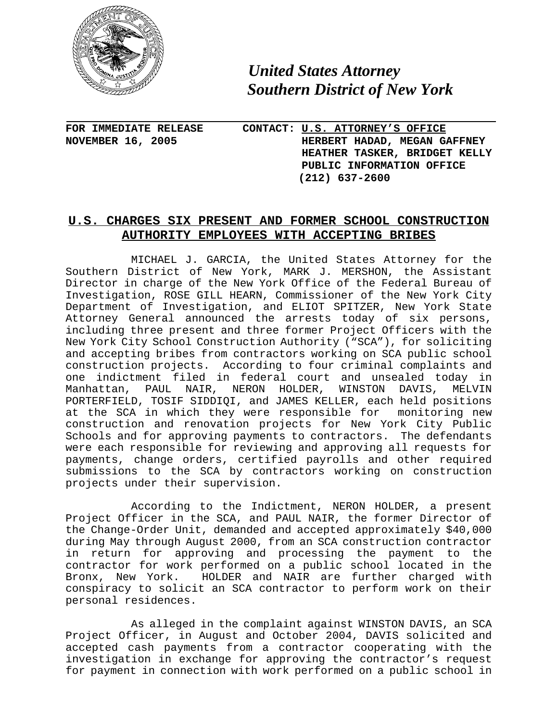

 *United States Attorney Southern District of New York*

**FOR IMMEDIATE RELEASE CONTACT: U.S. ATTORNEY'S OFFICE NOVEMBER 16, 2005 HERBERT HADAD, MEGAN GAFFNEY HEATHER TASKER, BRIDGET KELLY PUBLIC INFORMATION OFFICE (212) 637-2600** 

## **U.S. CHARGES SIX PRESENT AND FORMER SCHOOL CONSTRUCTION AUTHORITY EMPLOYEES WITH ACCEPTING BRIBES**

MICHAEL J. GARCIA, the United States Attorney for the Southern District of New York, MARK J. MERSHON, the Assistant Director in charge of the New York Office of the Federal Bureau of Investigation, ROSE GILL HEARN, Commissioner of the New York City Department of Investigation, and ELIOT SPITZER, New York State Attorney General announced the arrests today of six persons, including three present and three former Project Officers with the New York City School Construction Authority ("SCA"), for soliciting and accepting bribes from contractors working on SCA public school construction projects. According to four criminal complaints and one indictment filed in federal court and unsealed today in Manhattan, PAUL NAIR, NERON HOLDER, WINSTON DAVIS, MELVIN PORTERFIELD, TOSIF SIDDIQI, and JAMES KELLER, each held positions at the SCA in which they were responsible for monitoring new construction and renovation projects for New York City Public Schools and for approving payments to contractors. The defendants were each responsible for reviewing and approving all requests for payments, change orders, certified payrolls and other required submissions to the SCA by contractors working on construction projects under their supervision.

According to the Indictment, NERON HOLDER, a present Project Officer in the SCA, and PAUL NAIR, the former Director of the Change-Order Unit, demanded and accepted approximately \$40,000 during May through August 2000, from an SCA construction contractor in return for approving and processing the payment to the contractor for work performed on a public school located in the Bronx, New York. HOLDER and NAIR are further charged with conspiracy to solicit an SCA contractor to perform work on their personal residences.

As alleged in the complaint against WINSTON DAVIS, an SCA Project Officer, in August and October 2004, DAVIS solicited and accepted cash payments from a contractor cooperating with the investigation in exchange for approving the contractor's request for payment in connection with work performed on a public school in